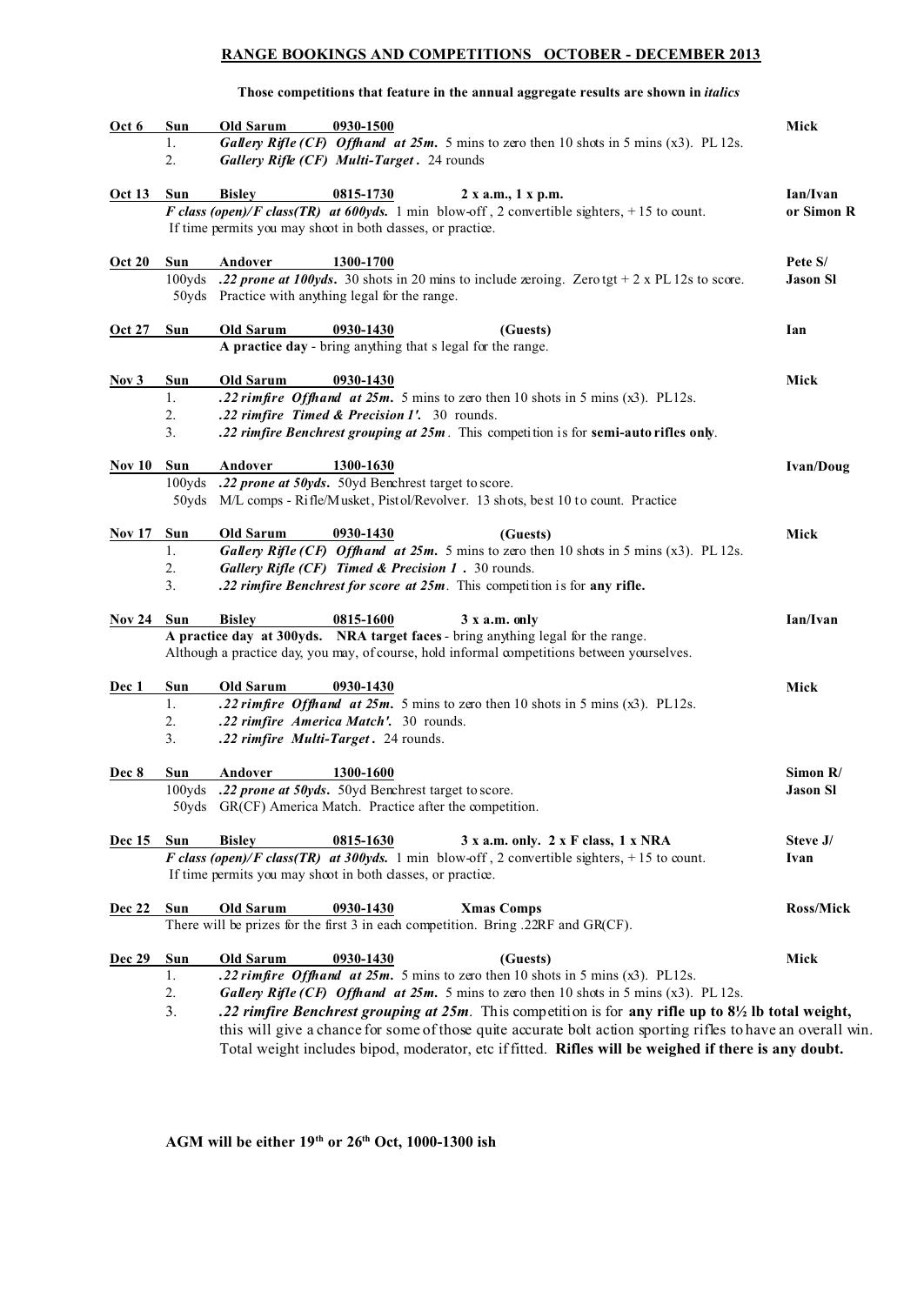#### **RANGE BOOKINGS AND COMPETITIONS OCTOBER - DECEMBER 2013**

#### **Those competitions that feature in the annual aggregate results are shown in** *italics*

| Oct 6         | Sun        | Old Sarum        | 0930-1500                                                                                                      | Mick             |
|---------------|------------|------------------|----------------------------------------------------------------------------------------------------------------|------------------|
|               | 1.         |                  | Gallery Rifle (CF) Offhand at 25m. 5 mins to zero then 10 shots in 5 mins (x3). PL 12s.                        |                  |
|               | 2.         |                  | Gallery Rifle (CF) Multi-Target. 24 rounds                                                                     |                  |
| <b>Oct 13</b> | Sun        | <b>Bisley</b>    | 0815-1730<br>2 x a.m., 1 x p.m.                                                                                | Ian/Ivan         |
|               |            |                  | F class (open)/F class(TR) at 600yds. 1 min blow-off, 2 convertible sighters, +15 to count.                    | or Simon R       |
|               |            |                  | If time permits you may shoot in both classes, or practice.                                                    |                  |
| <b>Oct 20</b> | Sun        | Andover          | 1300-1700                                                                                                      | Pete S/          |
|               | 100yds     |                  | .22 prone at 100yds. 30 shots in 20 mins to include zeroing. Zerotgt + 2 x PL 12s to score.                    | <b>Jason Sl</b>  |
|               |            |                  | 50yds Practice with anything legal for the range.                                                              |                  |
| <b>Oct 27</b> | Sun        | Old Sarum        | 0930-1430<br>(Guests)                                                                                          | Ian              |
|               |            |                  | A practice day - bring anything that s legal for the range.                                                    |                  |
| Nov 3         | Sun        | <b>Old Sarum</b> | 0930-1430                                                                                                      | Mick             |
|               | 1.         |                  | .22 rimfire Offhand at 25m. 5 mins to zero then 10 shots in 5 mins (x3). PL12s.                                |                  |
|               | 2.         |                  | .22 rimfire Timed & Precision 1'. 30 rounds.                                                                   |                  |
|               | 3.         |                  | .22 rimfire Benchrest grouping at 25m. This competition is for semi-auto rifles only.                          |                  |
| <b>Nov 10</b> | Sun        | Andover          | 1300-1630                                                                                                      | <b>Ivan/Doug</b> |
|               | 100yds     |                  | .22 prone at 50yds. 50yd Benchrest target to score.                                                            |                  |
|               |            |                  | 50yds M/L comps - Rifle/Musket, Pistol/Revolver. 13 shots, best 10 to count. Practice                          |                  |
| <b>Nov 17</b> | Sun        | Old Sarum        | 0930-1430<br>(Guests)                                                                                          | Mick             |
|               | 1.         |                  | Gallery Rifle (CF) Offhand at 25m. 5 mins to zero then 10 shots in 5 mins (x3). PL 12s.                        |                  |
|               | 2.         |                  | Gallery Rifle (CF) Timed & Precision 1 . 30 rounds.                                                            |                  |
|               | 3.         |                  | .22 rimfire Benchrest for score at 25m. This competition is for any rifle.                                     |                  |
| <b>Nov 24</b> | Sun        | <b>Bisley</b>    | 0815-1600<br>3 x a.m. only                                                                                     | Ian/Ivan         |
|               |            |                  | A practice day at 300yds. NRA target faces - bring anything legal for the range.                               |                  |
|               |            |                  | Although a practice day, you may, of course, hold informal competitions between yourselves.                    |                  |
| Dec 1         | Sun        | Old Sarum        | 0930-1430                                                                                                      | Mick             |
|               | 1.         |                  | .22 rimfire Offhand at $25m$ . 5 mins to zero then 10 shots in 5 mins (x3). PL12s.                             |                  |
|               | 2.         |                  | .22 rimfire America Match'. 30 rounds.                                                                         |                  |
|               | 3.         |                  | .22 rimfire Multi-Target. 24 rounds.                                                                           |                  |
| Dec 8         | Sun        | Andover          | 1300-1600                                                                                                      | Simon R/         |
|               |            |                  | 100yds .22 prone at 50yds. 50yd Benchrest target to score.                                                     | Jason Sl         |
|               |            |                  | 50yds GR(CF) America Match. Practice after the competition.                                                    |                  |
| <b>Dec</b> 15 | Sun        | <b>Bisley</b>    | 0815-1630<br>3 x a.m. only. 2 x F class, 1 x NRA                                                               | Steve J/         |
|               |            |                  | F class (open)/F class(TR) at 300yds. 1 min blow-off, 2 convertible sighters, +15 to count.                    | Ivan             |
|               |            |                  | If time permits you may shoot in both classes, or practice.                                                    |                  |
| Dec 22        | Sun        | Old Sarum        | 0930-1430<br><b>Xmas Comps</b>                                                                                 | Ross/Mick        |
|               |            |                  | There will be prizes for the first 3 in each competition. Bring .22RF and GR(CF).                              |                  |
| <b>Dec 29</b> | <b>Sun</b> | Old Sarum        | 0930-1430<br>(Guests)                                                                                          | Mick             |
|               | 1.         |                  | .22 rimfire Offhand at $25m$ . 5 mins to zero then 10 shots in 5 mins (x3). PL12s.                             |                  |
|               | 2.         |                  | Gallery Rifle (CF) Offhand at 25m. 5 mins to zero then 10 shots in 5 mins (x3). PL 12s.                        |                  |
|               | 3.         |                  | .22 rimfire Benchrest grouping at 25m. This competition is for any rifle up to $8\frac{1}{2}$ lb total weight, |                  |
|               |            |                  | this will give a chance for some of those quite accurate bolt action sporting rifles to have an overall win.   |                  |
|               |            |                  | Total weight includes bipod, moderator, etc if fitted. Rifles will be weighed if there is any doubt.           |                  |

**AGM will be either 19th or 26th Oct, 1000-1300 ish**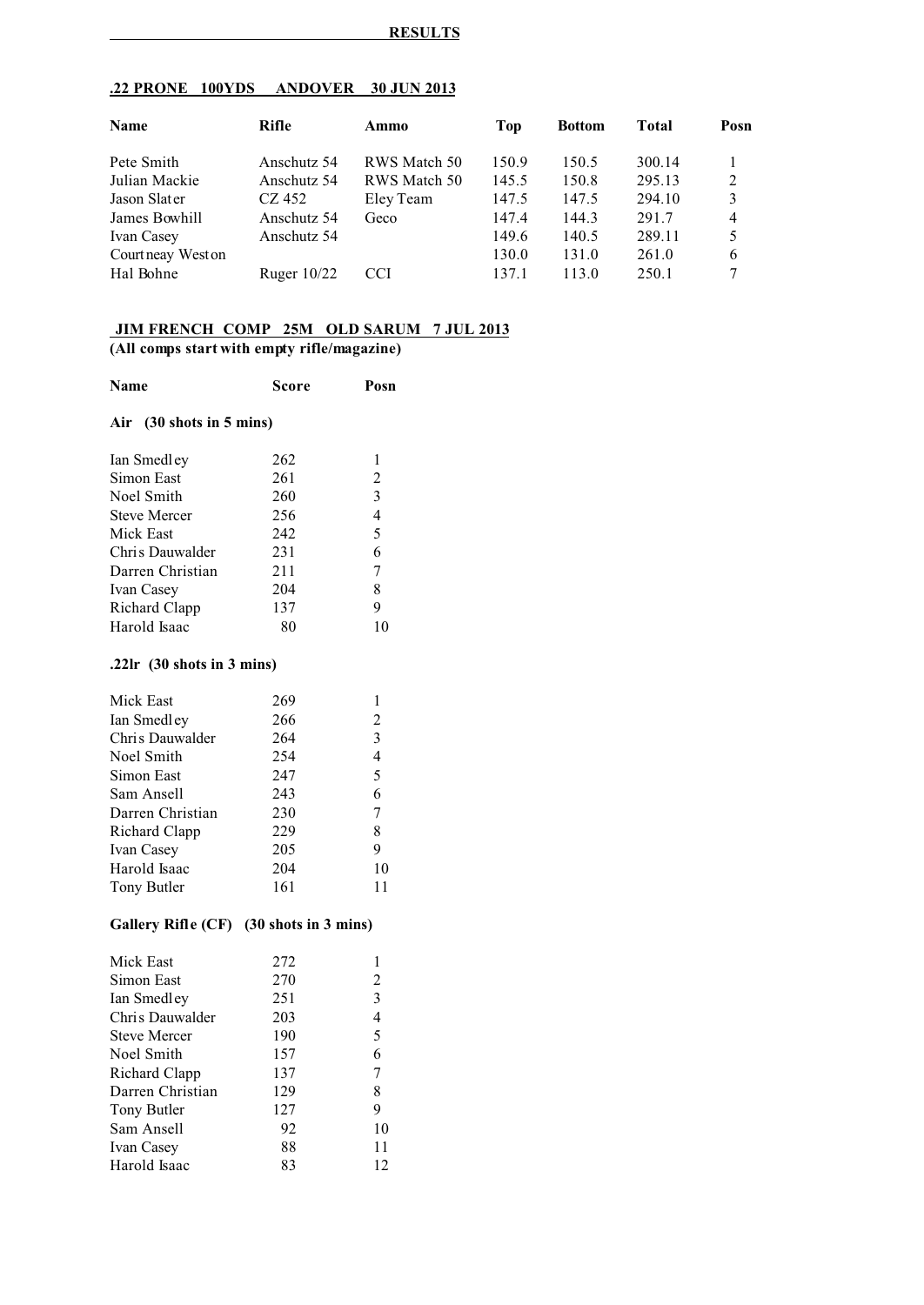| <b>.22 PRONE</b><br><b>ANDOVER</b><br>100YDS | 30 JUN 2013 |
|----------------------------------------------|-------------|
|----------------------------------------------|-------------|

| Name              | Rifle         | Ammo         | Top   | <b>Bottom</b> | Total  | Posn           |
|-------------------|---------------|--------------|-------|---------------|--------|----------------|
| Pete Smith        | Anschutz 54   | RWS Match 50 | 150.9 | 150.5         | 300.14 |                |
| Julian Mackie     | Anschutz 54   | RWS Match 50 | 145.5 | 150.8         | 295.13 | 2              |
| Jason Slater      | CZ 452        | Eley Team    | 147.5 | 147.5         | 294.10 | 3              |
| James Bowhill     | Anschutz 54   | Geco         | 147.4 | 144.3         | 291.7  | $\overline{4}$ |
| Ivan Casey        | Anschutz 54   |              | 149.6 | 140.5         | 289.11 | 5              |
| Courtneay West on |               |              | 130.0 | 131.0         | 261.0  | 6              |
| Hal Bohne         | Ruger $10/22$ | <b>CCI</b>   | 137.1 | 113.0         | 250.1  | 7              |

### **JIM FRENCH COMP 25M OLD SARUM 7 JUL 2013 (All comps start with empty rifle/magazine)**

| Name                                 | Score | Posn                     |  |  |  |  |  |
|--------------------------------------|-------|--------------------------|--|--|--|--|--|
| Air (30 shots in 5 mins)             |       |                          |  |  |  |  |  |
| Ian Smedley                          | 262   | 1                        |  |  |  |  |  |
| Simon East                           | 261   | $\overline{c}$           |  |  |  |  |  |
| Noel Smith                           | 260   | $\overline{\mathbf{3}}$  |  |  |  |  |  |
| <b>Steve Mercer</b>                  | 256   | $\overline{\mathcal{L}}$ |  |  |  |  |  |
| Mick East                            | 242   | 5                        |  |  |  |  |  |
| Chris Dauwalder                      | 231   | 6                        |  |  |  |  |  |
| Darren Christian                     | 211   | 7                        |  |  |  |  |  |
| Ivan Casey                           | 204   | 8                        |  |  |  |  |  |
| Richard Clapp                        | 137   | 9                        |  |  |  |  |  |
| Harold Isaac                         | 80    | 10                       |  |  |  |  |  |
| .22 $\text{lr}$ (30 shots in 3 mins) |       |                          |  |  |  |  |  |
| Mick East                            | 269   | 1                        |  |  |  |  |  |
| Ian Smedley                          | 266   | 2                        |  |  |  |  |  |
| Chris Dauwalder                      | 264   | 3                        |  |  |  |  |  |
| Noel Smith                           | 254   | 4                        |  |  |  |  |  |
| Simon East                           | 247   | 5                        |  |  |  |  |  |
| Sam Ansell                           | 243   | 6                        |  |  |  |  |  |
| Darren Christian                     | 230   | 7                        |  |  |  |  |  |
| Richard Clapp                        | 229   | 8                        |  |  |  |  |  |
| Ivan Casey                           | 205   | 9                        |  |  |  |  |  |
| Harold Isaac                         | 204   | 10                       |  |  |  |  |  |

### **Gallery Rifle (CF) (30 shots in 3 mins)**

Tony Butler 161 11

Harold Isaac 204

| 272 |    |
|-----|----|
| 270 | 2  |
| 251 | 3  |
| 203 | 4  |
| 190 | 5  |
| 157 | 6  |
| 137 | 7  |
| 129 | 8  |
| 127 | 9  |
| 92  | 10 |
| 88  | 11 |
| 83  | 12 |
|     |    |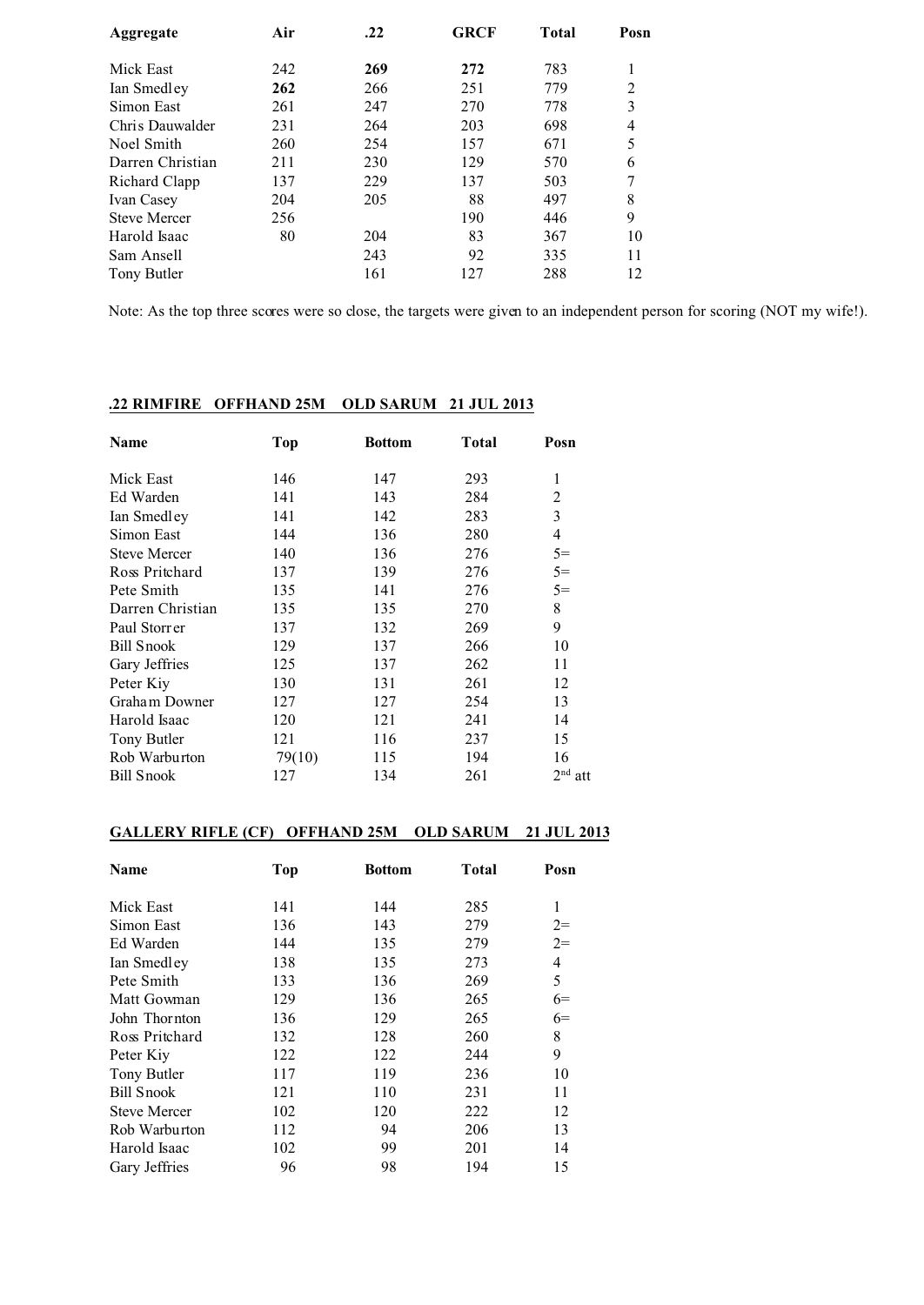| Aggregate           | Air | .22 | <b>GRCF</b> | <b>Total</b> | Posn           |
|---------------------|-----|-----|-------------|--------------|----------------|
| Mick East           | 242 | 269 | 272         | 783          |                |
| Ian Smedley         | 262 | 266 | 251         | 779          | $\overline{2}$ |
| Simon East          | 261 | 247 | 270         | 778          | 3              |
| Chris Dauwalder     | 231 | 264 | 203         | 698          | 4              |
| Noel Smith          | 260 | 254 | 157         | 671          | 5              |
| Darren Christian    | 211 | 230 | 129         | 570          | 6              |
| Richard Clapp       | 137 | 229 | 137         | 503          | 7              |
| Ivan Casey          | 204 | 205 | 88          | 497          | 8              |
| <b>Steve Mercer</b> | 256 |     | 190         | 446          | 9              |
| Harold Isaac        | 80  | 204 | 83          | 367          | 10             |
| Sam Ansell          |     | 243 | 92          | 335          | 11             |
| Tony Butler         |     | 161 | 127         | 288          | 12             |

Note: As the top three scores were so close, the targets were given to an independent person for scoring (NOT my wife!).

# **.22 RIMFIRE OFFHAND 25M OLD SARUM 21 JUL 2013**

| Name                | <b>Top</b> | <b>Bottom</b> | Total | Posn      |
|---------------------|------------|---------------|-------|-----------|
| Mick East           | 146        | 147           | 293   | 1         |
| Ed Warden           | 141        | 143           | 284   | 2         |
| Ian Smedley         | 141        | 142           | 283   | 3         |
| Simon East          | 144        | 136           | 280   | 4         |
| <b>Steve Mercer</b> | 140        | 136           | 276   | $5=$      |
| Ross Pritchard      | 137        | 139           | 276   | $5=$      |
| Pete Smith          | 135        | 141           | 276   | $5=$      |
| Darren Christian    | 135        | 135           | 270   | 8         |
| Paul Storrer        | 137        | 132           | 269   | 9         |
| Bill Snook          | 129        | 137           | 266   | 10        |
| Gary Jeffries       | 125        | 137           | 262   | 11        |
| Peter Kiy           | 130        | 131           | 261   | 12        |
| Graham Downer       | 127        | 127           | 254   | 13        |
| Harold Isaac        | 120        | 121           | 241   | 14        |
| Tony Butler         | 121        | 116           | 237   | 15        |
| Rob Warburton       | 79(10)     | 115           | 194   | 16        |
| Bill Snook          | 127        | 134           | 261   | $2nd$ att |

### **GALLERY RIFLE (CF) OFFHAND 25M OLD SARUM 21 JUL 2013**

| Name                | Top | <b>Bottom</b> | <b>Total</b> | Posn |
|---------------------|-----|---------------|--------------|------|
| Mick East           | 141 | 144           | 285          | 1    |
| Simon East          | 136 | 143           | 279          | $2=$ |
| Ed Warden           | 144 | 135           | 279          | $2=$ |
| Ian Smedley         | 138 | 135           | 273          | 4    |
| Pete Smith          | 133 | 136           | 269          | 5    |
| Matt Gowman         | 129 | 136           | 265          | $6=$ |
| John Thornton       | 136 | 129           | 265          | $6=$ |
| Ross Pritchard      | 132 | 128           | 260          | 8    |
| Peter Kiy           | 122 | 122           | 244          | 9    |
| Tony Butler         | 117 | 119           | 236          | 10   |
| <b>Bill Snook</b>   | 121 | 110           | 231          | 11   |
| <b>Steve Mercer</b> | 102 | 120           | 222          | 12   |
| Rob Warburton       | 112 | 94            | 206          | 13   |
| Harold Isaac        | 102 | 99            | 201          | 14   |
| Gary Jeffries       | 96  | 98            | 194          | 15   |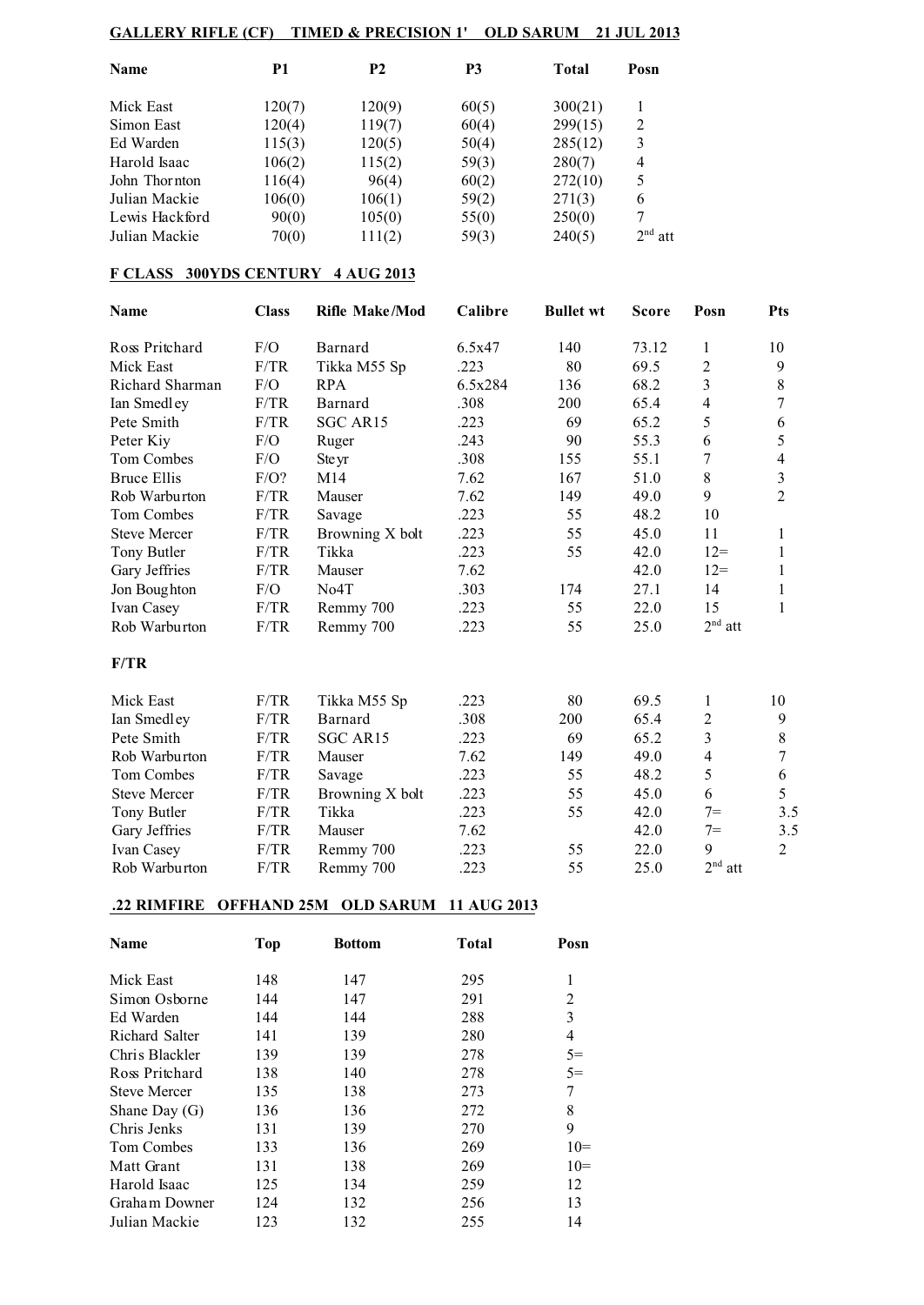## **GALLERY RIFLE (CF) TIMED & PRECISION 1' OLD SARUM 21 JUL 2013**

| <b>Name</b>    | P1     | <b>P2</b> | <b>P3</b> | Total   | Posn      |
|----------------|--------|-----------|-----------|---------|-----------|
| Mick East      | 120(7) | 120(9)    | 60(5)     | 300(21) |           |
| Simon East     | 120(4) | 119(7)    | 60(4)     | 299(15) | 2         |
| Ed Warden      | 115(3) | 120(5)    | 50(4)     | 285(12) | 3         |
| Harold Isaac   | 106(2) | 115(2)    | 59(3)     | 280(7)  | 4         |
| John Thornton  | 116(4) | 96(4)     | 60(2)     | 272(10) | 5         |
| Julian Mackie  | 106(0) | 106(1)    | 59(2)     | 271(3)  | 6         |
| Lewis Hackford | 90(0)  | 105(0)    | 55(0)     | 250(0)  | 7         |
| Julian Mackie  | 70(0)  | 111(2)    | 59(3)     | 240(5)  | $2nd$ att |

## **F CLASS 300YDS CENTURY 4 AUG 2013**

| <b>Name</b>         | <b>Class</b> | <b>Rifle Make/Mod</b> | Calibre | <b>Bullet wt</b> | <b>Score</b> | Posn             | <b>Pts</b>     |
|---------------------|--------------|-----------------------|---------|------------------|--------------|------------------|----------------|
| Ross Pritchard      | F/O          | Barnard               | 6.5x47  | 140              | 73.12        | 1                | 10             |
| Mick East           | F/TR         | Tikka M55 Sp          | .223    | 80               | 69.5         | $\sqrt{2}$       | 9              |
| Richard Sharman     | F/O          | <b>RPA</b>            | 6.5x284 | 136              | 68.2         | 3                | $8\,$          |
| Ian Smedley         | F/TR         | Barnard               | .308    | 200              | 65.4         | $\overline{4}$   | 7              |
| Pete Smith          | F/TR         | SGC AR15              | .223    | 69               | 65.2         | 5                | 6              |
| Peter Kiy           | F/O          | Ruger                 | .243    | 90               | 55.3         | 6                | 5              |
| Tom Combes          | F/O          | Ste yr                | .308    | 155              | 55.1         | 7                | $\overline{4}$ |
| <b>Bruce Ellis</b>  | $F/O$ ?      | M14                   | 7.62    | 167              | 51.0         | 8                | $\mathfrak{Z}$ |
| Rob Warburton       | F/TR         | Mauser                | 7.62    | 149              | 49.0         | 9                | $\overline{2}$ |
| <b>Tom Combes</b>   | F/TR         | Savage                | .223    | 55               | 48.2         | 10               |                |
| <b>Steve Mercer</b> | F/TR         | Browning X bolt       | .223    | 55               | 45.0         | 11               | 1              |
| Tony Butler         | F/TR         | Tikka                 | .223    | 55               | 42.0         | $12 =$           | $\mathbf{1}$   |
| Gary Jeffries       | F/TR         | Mauser                | 7.62    |                  | 42.0         | $12=$            | 1              |
| Jon Boughton        | F/O          | No <sub>4</sub> T     | .303    | 174              | 27.1         | 14               | 1              |
| Ivan Casey          | F/TR         | Remmy 700             | .223    | 55               | 22.0         | 15               | 1              |
| Rob Warburton       | F/TR         | Remmy 700             | .223    | 55               | 25.0         | $2nd$ att        |                |
| F/TR                |              |                       |         |                  |              |                  |                |
| Mick East           | F/TR         | Tikka M55 Sp          | .223    | 80               | 69.5         | 1                | 10             |
| Ian Smedley         | F/TR         | Barnard               | .308    | 200              | 65.4         | 2                | 9              |
| Pete Smith          | F/TR         | SGC AR15              | .223    | 69               | 65.2         | 3                | $8\,$          |
| Rob Warburton       | F/TR         | Mauser                | 7.62    | 149              | 49.0         | $\overline{4}$   | 7              |
| Tom Combes          | F/TR         | Savage                | .223    | 55               | 48.2         | 5                | 6              |
| <b>Steve Mercer</b> | F/TR         | Browning X bolt       | .223    | 55               | 45.0         | 6                | 5              |
| Tony Butler         | F/TR         | Tikka                 | .223    | 55               | 42.0         | $7 =$            | 3.5            |
| Gary Jeffries       | F/TR         | Mauser                | 7.62    |                  | 42.0         | $7=$             | 3.5            |
| Ivan Casey          | F/TR         | Remmy 700             | .223    | 55               | 22.0         | 9                | $\overline{2}$ |
| Rob Warburton       | F/TR         | Remmy 700             | .223    | 55               | 25.0         | $2^{\rm nd}$ att |                |

#### **.22 RIMFIRE OFFHAND 25M OLD SARUM 11 AUG 2013**

| <b>Name</b>         | <b>Top</b> | <b>Bottom</b> | <b>Total</b> | Posn           |
|---------------------|------------|---------------|--------------|----------------|
| Mick East           | 148        | 147           | 295          | 1              |
| Simon Osborne       | 144        | 147           | 291          | 2              |
| Ed Warden           | 144        | 144           | 288          | 3              |
| Richard Salter      | 141        | 139           | 280          | $\overline{4}$ |
| Chris Blackler      | 139        | 139           | 278          | $5=$           |
| Ross Pritchard      | 138        | 140           | 278          | $5=$           |
| <b>Steve Mercer</b> | 135        | 138           | 273          | 7              |
| Shane Day $(G)$     | 136        | 136           | 272          | 8              |
| Chris Jenks         | 131        | 139           | 270          | 9              |
| Tom Combes          | 133        | 136           | 269          | $10=$          |
| Matt Grant          | 131        | 138           | 269          | $10=$          |
| Harold Isaac        | 125        | 134           | 259          | 12             |
| Graham Downer       | 124        | 132           | 256          | 13             |
| Julian Mackie       | 123        | 132           | 255          | 14             |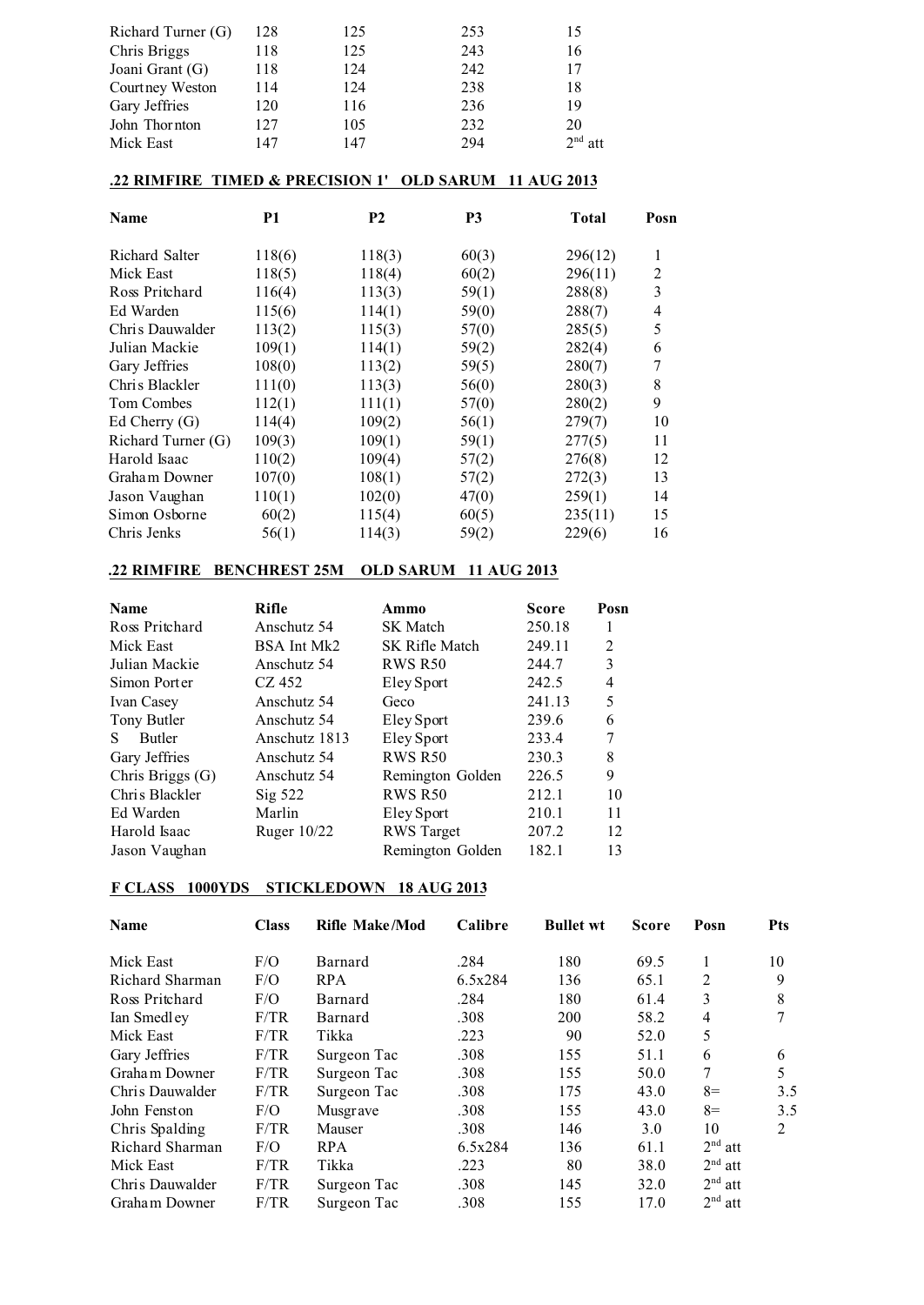| Richard Turner (G) | 128 | 125 | 253 | 15        |
|--------------------|-----|-----|-----|-----------|
| Chris Briggs       | 118 | 125 | 243 | 16        |
| Joani Grant (G)    | 118 | 124 | 242 | 17        |
| Court ney Weston   | 114 | 124 | 238 | 18        |
| Gary Jeffries      | 120 | 116 | 236 | 19        |
| John Thornton      | 127 | 105 | 232 | 20        |
| Mick East          | 147 | 147 | 294 | $2nd$ att |

### **.22 RIMFIRE TIMED & PRECISION 1' OLD SARUM 11 AUG 2013**

| Name               | P <sub>1</sub> | <b>P2</b> | P <sub>3</sub> | <b>Total</b> | Posn |
|--------------------|----------------|-----------|----------------|--------------|------|
| Richard Salter     | 118(6)         | 118(3)    | 60(3)          | 296(12)      | 1    |
| Mick East          | 118(5)         | 118(4)    | 60(2)          | 296(11)      | 2    |
| Ross Pritchard     | 116(4)         | 113(3)    | 59(1)          | 288(8)       | 3    |
| Ed Warden          | 115(6)         | 114(1)    | 59(0)          | 288(7)       | 4    |
| Chris Dauwalder    | 113(2)         | 115(3)    | 57(0)          | 285(5)       | 5    |
| Julian Mackie      | 109(1)         | 114(1)    | 59(2)          | 282(4)       | 6    |
| Gary Jeffries      | 108(0)         | 113(2)    | 59(5)          | 280(7)       | 7    |
| Chris Blackler     | 111(0)         | 113(3)    | 56(0)          | 280(3)       | 8    |
| Tom Combes         | 112(1)         | 111(1)    | 57(0)          | 280(2)       | 9    |
| Ed Cherry $(G)$    | 114(4)         | 109(2)    | 56(1)          | 279(7)       | 10   |
| Richard Turner (G) | 109(3)         | 109(1)    | 59(1)          | 277(5)       | 11   |
| Harold Isaac       | 110(2)         | 109(4)    | 57(2)          | 276(8)       | 12   |
| Graham Downer      | 107(0)         | 108(1)    | 57(2)          | 272(3)       | 13   |
| Jason Vaughan      | 110(1)         | 102(0)    | 47(0)          | 259(1)       | 14   |
| Simon Osborne      | 60(2)          | 115(4)    | 60(5)          | 235(11)      | 15   |
| Chris Jenks        | 56(1)          | 114(3)    | 59(2)          | 229(6)       | 16   |

### **.22 RIMFIRE BENCHREST 25M OLD SARUM 11 AUG 2013**

| <b>Name</b>         | Rifle              | Ammo              | <b>Score</b> | Posn |
|---------------------|--------------------|-------------------|--------------|------|
| Ross Pritchard      | Anschutz 54        | <b>SK</b> Match   | 250.18       |      |
| Mick East           | BSA Int Mk2        | SK Rifle Match    | 249.11       | 2    |
| Julian Mackie       | Anschutz 54        | <b>RWS R50</b>    | 244.7        | 3    |
| Simon Porter        | CZ 452             | Eley Sport        | 242.5        | 4    |
| Ivan Casey          | Anschutz 54        | Geco              | 241.13       | 5    |
| Tony Butler         | Anschutz 54        | Eley Sport        | 239.6        | 6    |
| <b>Butler</b><br>S. | Anschutz 1813      | Eley Sport        | 233.4        | 7    |
| Gary Jeffries       | Anschutz 54        | <b>RWS R50</b>    | 230.3        | 8    |
| Chris Briggs (G)    | Anschutz 54        | Remington Golden  | 226.5        | 9    |
| Chris Blackler      | $\mathrm{Sig}$ 522 | <b>RWS R50</b>    | 212.1        | 10   |
| Ed Warden           | Marlin             | Eley Sport        | 210.1        | 11   |
| Harold Isaac        | Ruger $10/22$      | <b>RWS</b> Target | 207.2        | 12   |
| Jason Vaughan       |                    | Remington Golden  | 182.1        | 13   |

## **F CLASS 1000YDS STICKLEDOWN 18 AUG 2013**

| <b>Name</b>     | <b>Class</b> | <b>Rifle Make/Mod</b> | Calibre | <b>Bullet wt</b> | <b>Score</b> | Posn           | <b>Pts</b> |
|-----------------|--------------|-----------------------|---------|------------------|--------------|----------------|------------|
| Mick East       | F/O          | Barnard               | .284    | 180              | 69.5         |                | 10         |
| Richard Sharman | F/O          | <b>RPA</b>            | 6.5x284 | 136              | 65.1         | 2              | 9          |
| Ross Pritchard  | F/O          | Barnard               | .284    | 180              | 61.4         | 3              | 8          |
| Ian Smedley     | F/TR         | Barnard               | .308    | 200              | 58.2         | $\overline{4}$ | 7          |
| Mick East       | F/TR         | Tikka                 | .223    | 90               | 52.0         | 5              |            |
| Gary Jeffries   | F/TR         | Surgeon Tac           | .308    | 155              | 51.1         | 6              | 6          |
| Graham Downer   | F/TR         | Surgeon Tac           | .308    | 155              | 50.0         | 7              | 5          |
| Chris Dauwalder | F/TR         | Surgeon Tac           | .308    | 175              | 43.0         | $8=$           | 3.5        |
| John Fenston    | F/O          | <b>Musgrave</b>       | .308    | 155              | 43.0         | $8=$           | 3.5        |
| Chris Spalding  | F/TR         | Mauser                | .308    | 146              | 3.0          | 10             | 2          |
| Richard Sharman | F/O          | <b>RPA</b>            | 6.5x284 | 136              | 61.1         | $2nd$ att      |            |
| Mick East       | F/TR         | Tikka                 | .223    | 80               | 38.0         | $2nd$ att      |            |
| Chris Dauwalder | F/TR         | Surgeon Tac           | .308    | 145              | 32.0         | $2nd$ att      |            |
| Graham Downer   | F/TR         | Surgeon Tac           | .308    | 155              | 17.0         | $2nd$ att      |            |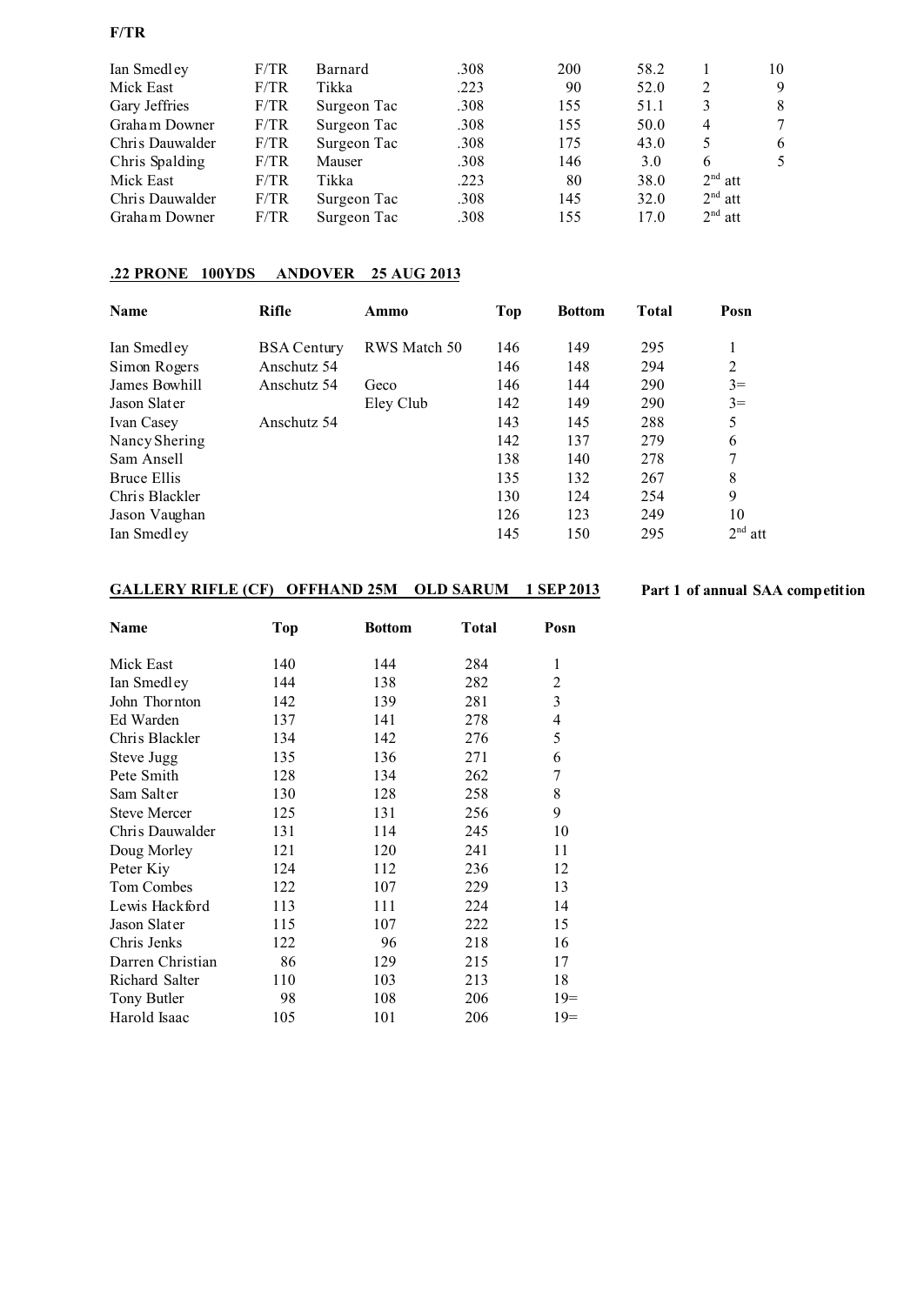### **F/TR**

| Ian Smedley     | F/TR | Barnard     | .308 | 200 | 58.2 |           | 10 |
|-----------------|------|-------------|------|-----|------|-----------|----|
| Mick East       | F/TR | Tikka       | .223 | 90  | 52.0 | 2         | 9  |
| Gary Jeffries   | F/TR | Surgeon Tac | .308 | 155 | 51.1 | 3         | 8  |
| Graham Downer   | F/TR | Surgeon Tac | .308 | 155 | 50.0 | 4         | 7  |
| Chris Dauwalder | F/TR | Surgeon Tac | .308 | 175 | 43.0 | 5         | 6  |
| Chris Spalding  | F/TR | Mauser      | .308 | 146 | 3.0  | 6         | 5  |
| Mick East       | F/TR | Tikka       | .223 | 80  | 38.0 | $2nd$ att |    |
| Chris Dauwalder | F/TR | Surgeon Tac | .308 | 145 | 32.0 | $2nd$ att |    |
| Graham Downer   | F/TR | Surgeon Tac | .308 | 155 | 17.0 | $2nd$ att |    |

## **.22 PRONE 100YDS ANDOVER 25 AUG 2013**

| <b>Name</b>    | <b>Rifle</b>       | Ammo         | Top | <b>Bottom</b> | Total | Posn           |
|----------------|--------------------|--------------|-----|---------------|-------|----------------|
| Ian Smedley    | <b>BSA</b> Century | RWS Match 50 | 146 | 149           | 295   | 1              |
| Simon Rogers   | Anschutz 54        |              | 146 | 148           | 294   | $\overline{2}$ |
| James Bowhill  | Anschutz 54        | Geco         | 146 | 144           | 290   | $3=$           |
| Jason Slater   |                    | Eley Club    | 142 | 149           | 290   | $3=$           |
| Ivan Casey     | Anschutz 54        |              | 143 | 145           | 288   | 5              |
| Nancy Shering  |                    |              | 142 | 137           | 279   | 6              |
| Sam Ansell     |                    |              | 138 | 140           | 278   | 7              |
| Bruce Ellis    |                    |              | 135 | 132           | 267   | 8              |
| Chris Blackler |                    |              | 130 | 124           | 254   | 9              |
| Jason Vaughan  |                    |              | 126 | 123           | 249   | 10             |
| Ian Smedley    |                    |              | 145 | 150           | 295   | $2nd$ att      |

## **GALLERY RIFLE (CF) OFFHAND 25M OLD SARUM 1 SEP 2013 Part 1 of annual SAA competition**

| Name                | <b>Top</b> | <b>Bottom</b> | <b>Total</b> | Posn             |
|---------------------|------------|---------------|--------------|------------------|
| Mick East           | 140        | 144           | 284          | 1                |
| Ian Smedley         | 144        | 138           | 282          | 2                |
| John Thornton       | 142        | 139           | 281          | 3                |
| Ed Warden           | 137        | 141           | 278          | 4                |
| Chris Blackler      | 134        | 142           | 276          | 5                |
| Steve Jugg          | 135        | 136           | 271          | 6                |
| Pete Smith          | 128        | 134           | 262          | $\boldsymbol{7}$ |
| Sam Salter          | 130        | 128           | 258          | 8                |
| <b>Steve Mercer</b> | 125        | 131           | 256          | 9                |
| Chris Dauwalder     | 131        | 114           | 245          | 10               |
| Doug Morley         | 121        | 120           | 241          | 11               |
| Peter Kiy           | 124        | 112           | 236          | 12               |
| Tom Combes          | 122        | 107           | 229          | 13               |
| Lewis Hackford      | 113        | 111           | 224          | 14               |
| Jason Slater        | 115        | 107           | 222          | 15               |
| Chris Jenks         | 122        | 96            | 218          | 16               |
| Darren Christian    | 86         | 129           | 215          | 17               |
| Richard Salter      | 110        | 103           | 213          | 18               |
| Tony Butler         | 98         | 108           | 206          | $19=$            |
| Harold Isaac        | 105        | 101           | 206          | $19=$            |
|                     |            |               |              |                  |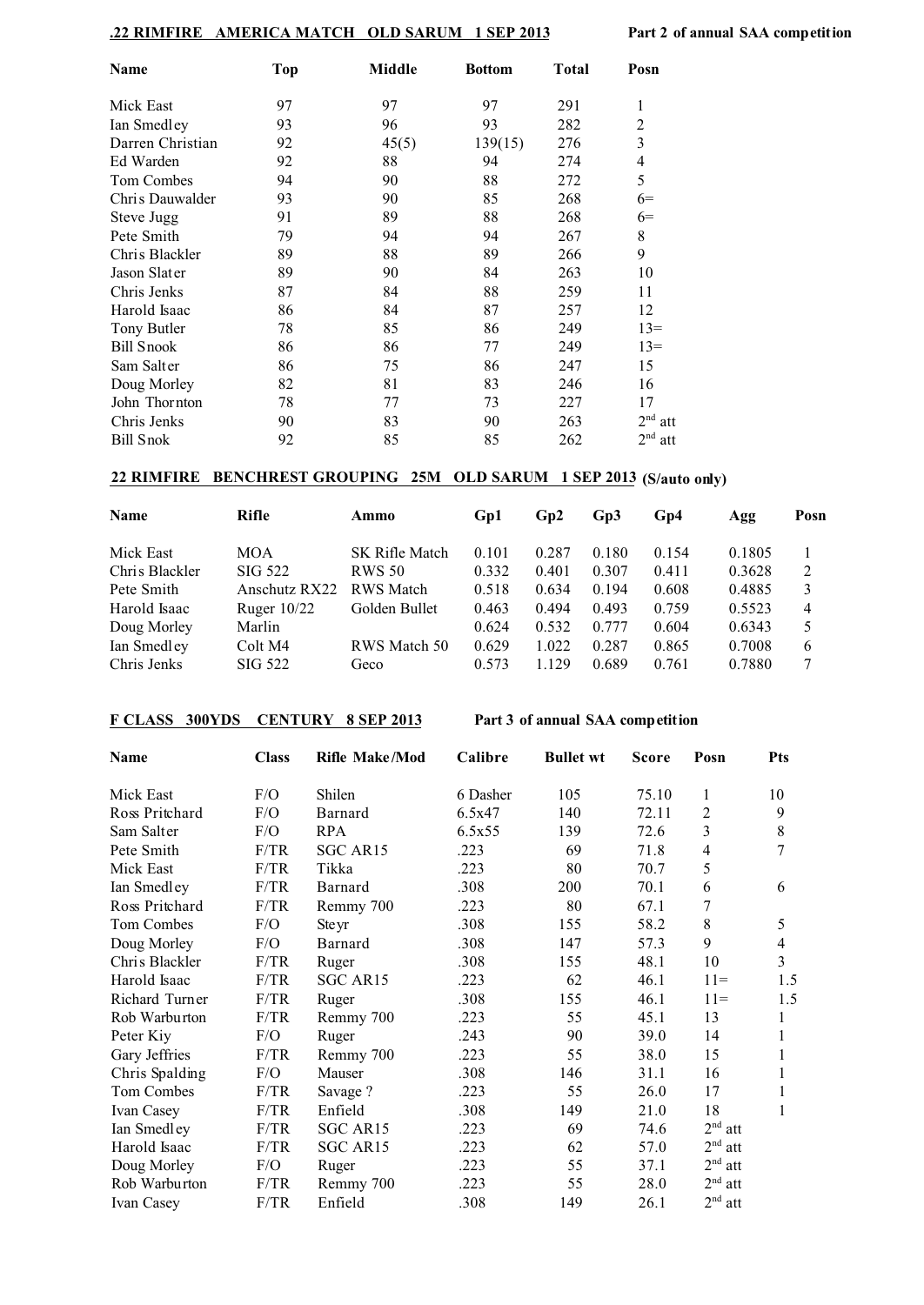### **.22 RIMFIRE AMERICA MATCH OLD SARUM 1 SEP 2013 Part 2 of annual SAA competition**

| Name              | <b>Top</b> | Middle | <b>Bottom</b> | <b>Total</b> | Posn                     |
|-------------------|------------|--------|---------------|--------------|--------------------------|
| Mick East         | 97         | 97     | 97            | 291          | 1                        |
| Ian Smedley       | 93         | 96     | 93            | 282          | $\overline{c}$           |
| Darren Christian  | 92         | 45(5)  | 139(15)       | 276          | 3                        |
| Ed Warden         | 92         | 88     | 94            | 274          | $\overline{\mathcal{L}}$ |
| Tom Combes        | 94         | 90     | 88            | 272          | 5                        |
| Chris Dauwalder   | 93         | 90     | 85            | 268          | $6=$                     |
| Steve Jugg        | 91         | 89     | 88            | 268          | $6=$                     |
| Pete Smith        | 79         | 94     | 94            | 267          | $\,$ 8 $\,$              |
| Chris Blackler    | 89         | 88     | 89            | 266          | 9                        |
| Jason Slater      | 89         | 90     | 84            | 263          | 10                       |
| Chris Jenks       | 87         | 84     | 88            | 259          | 11                       |
| Harold Isaac      | 86         | 84     | 87            | 257          | 12                       |
| Tony Butler       | 78         | 85     | 86            | 249          | $13=$                    |
| <b>Bill Snook</b> | 86         | 86     | 77            | 249          | $13=$                    |
| Sam Salter        | 86         | 75     | 86            | 247          | 15                       |
| Doug Morley       | 82         | 81     | 83            | 246          | 16                       |
| John Thornton     | 78         | 77     | 73            | 227          | 17                       |
| Chris Jenks       | 90         | 83     | 90            | 263          | $2nd$ att                |
| <b>Bill Snok</b>  | 92         | 85     | 85            | 262          | 2 <sup>nd</sup><br>att   |

### **22 RIMFIRE BENCHREST GROUPING 25M OLD SARUM 1 SEP 2013 (S/auto only)**

| <b>Name</b>    | Rifle         | Ammo                  | Gp1   | Gp2   | Gp3   | Gp4   | Agg    | Posn |
|----------------|---------------|-----------------------|-------|-------|-------|-------|--------|------|
| Mick East      | <b>MOA</b>    | <b>SK Rifle Match</b> | 0.101 | 0.287 | 0.180 | 0.154 | 0.1805 |      |
| Chris Blackler | SIG 522       | <b>RWS 50</b>         | 0.332 | 0.401 | 0.307 | 0.411 | 0.3628 | 2    |
| Pete Smith     | Anschutz RX22 | <b>RWS</b> Match      | 0.518 | 0.634 | 0.194 | 0.608 | 0.4885 | 3    |
| Harold Isaac   | Ruger $10/22$ | Golden Bullet         | 0.463 | 0.494 | 0.493 | 0.759 | 0.5523 | 4    |
| Doug Morley    | Marlin        |                       | 0.624 | 0.532 | 0.777 | 0.604 | 0.6343 | 5    |
| Ian Smedley    | Colt M4       | RWS Match 50          | 0.629 | 1.022 | 0.287 | 0.865 | 0.7008 | 6    |
| Chris Jenks    | SIG 522       | Geco                  | 0.573 | 1.129 | 0.689 | 0.761 | 0.7880 |      |

#### **F CLASS 300YDS CENTURY 8 SEP 2013 Part 3 of annual SAA competition**

| Name           | <b>Class</b> | <b>Rifle Make/Mod</b> | Calibre  | <b>Bullet wt</b> | <b>Score</b> | Posn                   | <b>Pts</b>     |
|----------------|--------------|-----------------------|----------|------------------|--------------|------------------------|----------------|
| Mick East      | F/O          | Shilen                | 6 Dasher | 105              | 75.10        | 1                      | 10             |
| Ross Pritchard | F/O          | Barnard               | 6.5x47   | 140              | 72.11        | 2                      | 9              |
| Sam Salter     | F/O          | <b>RPA</b>            | 6.5x55   | 139              | 72.6         | 3                      | $8\,$          |
| Pete Smith     | F/TR         | SGC AR15              | .223     | 69               | 71.8         | $\overline{4}$         | 7              |
| Mick East      | F/TR         | Tikka                 | .223     | 80               | 70.7         | 5                      |                |
| Ian Smedley    | F/TR         | Barnard               | .308     | 200              | 70.1         | 6                      | 6              |
| Ross Pritchard | F/TR         | Remmy 700             | .223     | 80               | 67.1         | 7                      |                |
| Tom Combes     | F/O          | Ste yr                | .308     | 155              | 58.2         | 8                      | 5              |
| Doug Morley    | F/O          | Barnard               | .308     | 147              | 57.3         | 9                      | $\overline{4}$ |
| Chris Blackler | F/TR         | Ruger                 | .308     | 155              | 48.1         | 10                     | $\overline{3}$ |
| Harold Isaac   | F/TR         | SGC AR15              | .223     | 62               | 46.1         | $11 =$                 | 1.5            |
| Richard Turner | F/TR         | Ruger                 | .308     | 155              | 46.1         | $11 =$                 | 1.5            |
| Rob Warburton  | F/TR         | Remmy 700             | .223     | 55               | 45.1         | 13                     | 1              |
| Peter Kiy      | F/O          | Ruger                 | .243     | 90               | 39.0         | 14                     |                |
| Gary Jeffries  | F/TR         | Remmy 700             | .223     | 55               | 38.0         | 15                     | 1              |
| Chris Spalding | F/O          | Mauser                | .308     | 146              | 31.1         | 16                     |                |
| Tom Combes     | F/TR         | Savage ?              | .223     | 55               | 26.0         | 17                     | 1              |
| Ivan Casey     | F/TR         | Enfield               | .308     | 149              | 21.0         | 18                     | 1              |
| Ian Smedley    | F/TR         | SGC AR15              | .223     | 69               | 74.6         | $2nd$ att              |                |
| Harold Isaac   | F/TR         | SGC AR15              | .223     | 62               | 57.0         | $2nd$ att              |                |
| Doug Morley    | F/O          | Ruger                 | .223     | 55               | 37.1         | $2nd$ att              |                |
| Rob Warburton  | F/TR         | Remmy 700             | .223     | 55               | 28.0         | 2 <sup>nd</sup><br>att |                |
| Ivan Casey     | F/TR         | Enfield               | .308     | 149              | 26.1         | $2nd$ att              |                |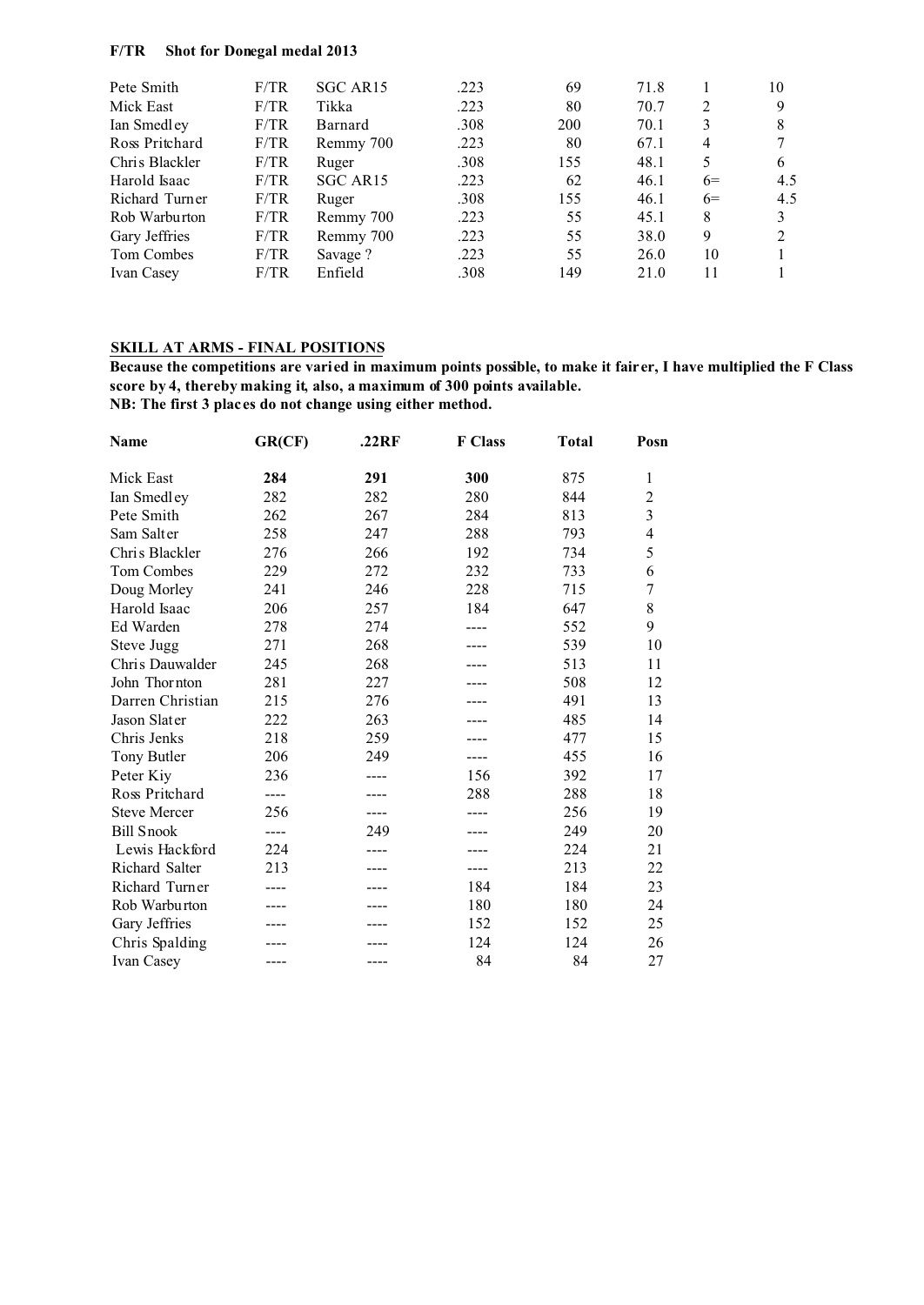#### **F/TR Shot for Donegal medal 2013**

| Pete Smith     | F/TR | SGC AR <sub>15</sub> | .223 | 69  | 71.8 |      | 10  |
|----------------|------|----------------------|------|-----|------|------|-----|
| Mick East      | F/TR | Tikka                | .223 | 80  | 70.7 | 2    | 9   |
| Ian Smedley    | F/TR | Barnard              | .308 | 200 | 70.1 | 3    | 8   |
| Ross Pritchard | F/TR | Remmy 700            | .223 | 80  | 67.1 | 4    |     |
| Chris Blackler | F/TR | Ruger                | .308 | 155 | 48.1 | 5    | 6   |
| Harold Isaac   | F/TR | SGC AR15             | .223 | 62  | 46.1 | $6=$ | 4.5 |
| Richard Turner | F/TR | Ruger                | .308 | 155 | 46.1 | $6=$ | 4.5 |
| Rob Warburton  | F/TR | Remmy 700            | .223 | 55  | 45.1 | 8    | 3   |
| Gary Jeffries  | F/TR | Remmy 700            | .223 | 55  | 38.0 | 9    | 2   |
| Tom Combes     | F/TR | Savage?              | .223 | 55  | 26.0 | 10   |     |
| Ivan Casey     | F/TR | Enfield              | .308 | 149 | 21.0 | 11   |     |

### **SKILL AT ARMS - FINAL POSITIONS**

**Because the competitions are varied in maximum points possible, to make it fairer, I have multiplied the F Class score by 4, thereby making it, also, a maximum of 300 points available. NB: The first 3 places do not change using either method.**

| Name                | GR(CF) | .22RF | <b>F</b> Class | <b>Total</b> | Posn                    |
|---------------------|--------|-------|----------------|--------------|-------------------------|
| Mick East           | 284    | 291   | 300            | 875          | 1                       |
| Ian Smedley         | 282    | 282   | 280            | 844          | $\overline{c}$          |
| Pete Smith          | 262    | 267   | 284            | 813          | $\overline{\mathbf{3}}$ |
| Sam Salter          | 258    | 247   | 288            | 793          | $\overline{4}$          |
| Chris Blackler      | 276    | 266   | 192            | 734          | 5                       |
| Tom Combes          | 229    | 272   | 232            | 733          | 6                       |
| Doug Morley         | 241    | 246   | 228            | 715          | $\boldsymbol{7}$        |
| Harold Isaac        | 206    | 257   | 184            | 647          | 8                       |
| Ed Warden           | 278    | 274   | ----           | 552          | 9                       |
| Steve Jugg          | 271    | 268   |                | 539          | 10                      |
| Chris Dauwalder     | 245    | 268   |                | 513          | 11                      |
| John Thornton       | 281    | 227   |                | 508          | 12                      |
| Darren Christian    | 215    | 276   |                | 491          | 13                      |
| Jason Slater        | 222    | 263   |                | 485          | 14                      |
| Chris Jenks         | 218    | 259   |                | 477          | 15                      |
| Tony Butler         | 206    | 249   | ----           | 455          | 16                      |
| Peter Kiy           | 236    |       | 156            | 392          | 17                      |
| Ross Pritchard      | ----   |       | 288            | 288          | 18                      |
| <b>Steve Mercer</b> | 256    |       |                | 256          | 19                      |
| <b>Bill Snook</b>   | ----   | 249   |                | 249          | 20                      |
| Lewis Hackford      | 224    |       |                | 224          | 21                      |
| Richard Salter      | 213    |       |                | 213          | 22                      |
| Richard Turner      | ----   |       | 184            | 184          | 23                      |
| Rob Warburton       |        |       | 180            | 180          | 24                      |
| Gary Jeffries       |        |       | 152            | 152          | 25                      |
| Chris Spalding      |        |       | 124            | 124          | 26                      |
| Ivan Casey          |        |       | 84             | 84           | 27                      |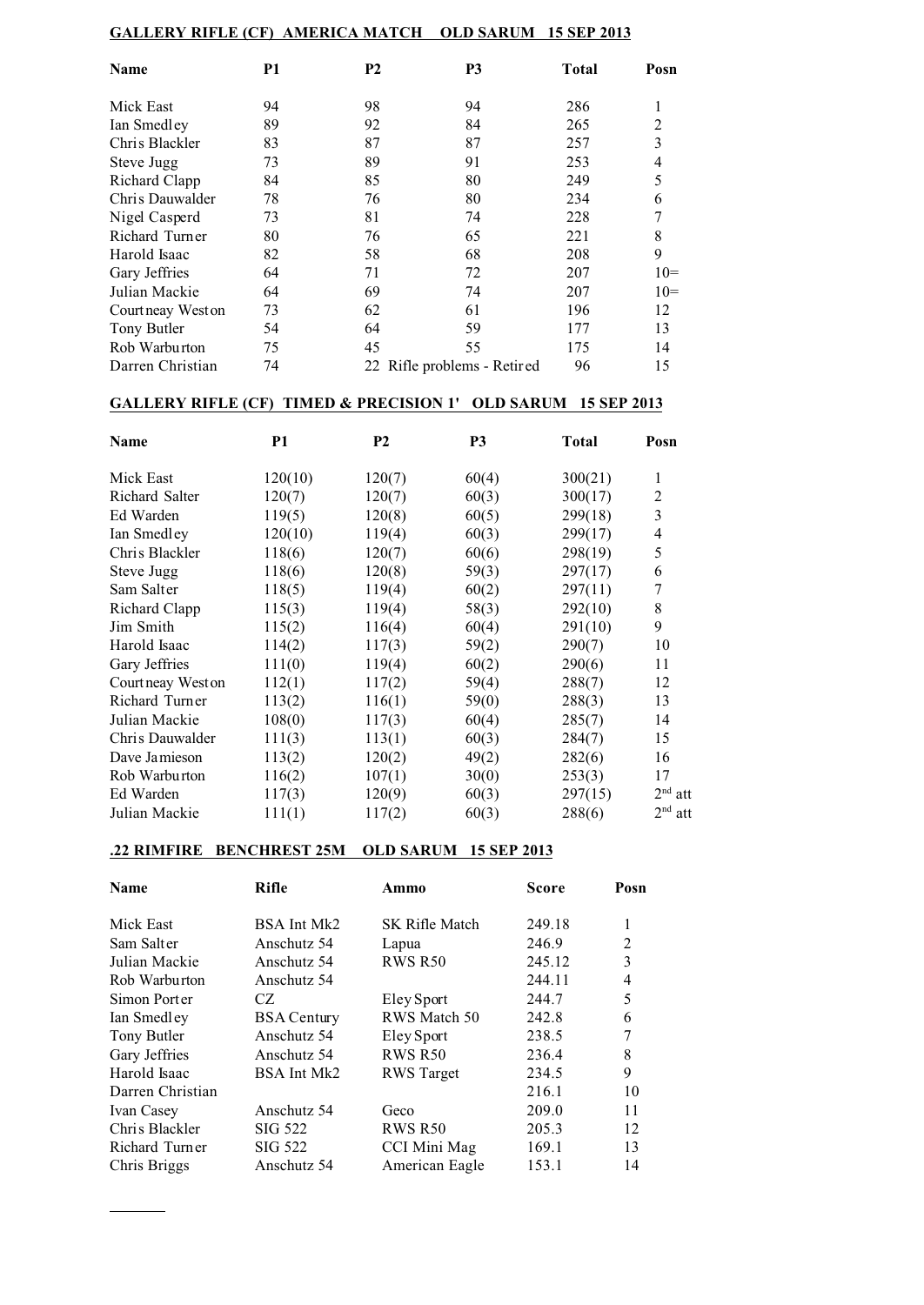| <b>AMERICA MATCH</b><br><b>GALLERY RIFLE (CF)</b><br><b>OLD SARUM</b><br><b>15 SEP 2013</b> |           |           |                          |              |                |
|---------------------------------------------------------------------------------------------|-----------|-----------|--------------------------|--------------|----------------|
| Name                                                                                        | <b>P1</b> | <b>P2</b> | P <sub>3</sub>           | <b>Total</b> | Posn           |
| Mick East                                                                                   | 94        | 98        | 94                       | 286          | 1              |
| Ian Smedley                                                                                 | 89        | 92        | 84                       | 265          | $\overline{2}$ |
| Chris Blackler                                                                              | 83        | 87        | 87                       | 257          | 3              |
| Steve Jugg                                                                                  | 73        | 89        | 91                       | 253          | 4              |
| Richard Clapp                                                                               | 84        | 85        | 80                       | 249          | 5              |
| Chris Dauwalder                                                                             | 78        | 76        | 80                       | 234          | 6              |
| Nigel Casperd                                                                               | 73        | 81        | 74                       | 228          | 7              |
| Richard Turner                                                                              | 80        | 76        | 65                       | 221          | 8              |
| Harold Isaac                                                                                | 82        | 58        | 68                       | 208          | 9              |
| Gary Jeffries                                                                               | 64        | 71        | 72                       | 207          | $10=$          |
| Julian Mackie                                                                               | 64        | 69        | 74                       | 207          | $10=$          |
| Court neay West on                                                                          | 73        | 62        | 61                       | 196          | 12             |
| Tony Butler                                                                                 | 54        | 64        | 59                       | 177          | 13             |
| Rob Warburton                                                                               | 75        | 45        | 55                       | 175          | 14             |
| Darren Christian                                                                            | 74        | 22        | Rifle problems - Retired | 96           | 15             |

## **GALLERY RIFLE (CF) TIMED & PRECISION 1' OLD SARUM 15 SEP 2013**

| Name              | <b>P1</b> | P <sub>2</sub> | P <sub>3</sub> | <b>Total</b> | Posn      |
|-------------------|-----------|----------------|----------------|--------------|-----------|
| Mick East         | 120(10)   | 120(7)         | 60(4)          | 300(21)      | 1         |
| Richard Salter    | 120(7)    | 120(7)         | 60(3)          | 300(17)      | 2         |
| Ed Warden         | 119(5)    | 120(8)         | 60(5)          | 299(18)      | 3         |
| Ian Smedley       | 120(10)   | 119(4)         | 60(3)          | 299(17)      | 4         |
| Chris Blackler    | 118(6)    | 120(7)         | 60(6)          | 298(19)      | 5         |
| Steve Jugg        | 118(6)    | 120(8)         | 59(3)          | 297(17)      | 6         |
| Sam Salter        | 118(5)    | 119(4)         | 60(2)          | 297(11)      | 7         |
| Richard Clapp     | 115(3)    | 119(4)         | 58(3)          | 292(10)      | 8         |
| Jim Smith         | 115(2)    | 116(4)         | 60(4)          | 291(10)      | 9         |
| Harold Isaac      | 114(2)    | 117(3)         | 59(2)          | 290(7)       | 10        |
| Gary Jeffries     | 111(0)    | 119(4)         | 60(2)          | 290(6)       | 11        |
| Courtneay West on | 112(1)    | 117(2)         | 59(4)          | 288(7)       | 12        |
| Richard Turner    | 113(2)    | 116(1)         | 59(0)          | 288(3)       | 13        |
| Julian Mackie     | 108(0)    | 117(3)         | 60(4)          | 285(7)       | 14        |
| Chris Dauwalder   | 111(3)    | 113(1)         | 60(3)          | 284(7)       | 15        |
| Dave Jamieson     | 113(2)    | 120(2)         | 49(2)          | 282(6)       | 16        |
| Rob Warburton     | 116(2)    | 107(1)         | 30(0)          | 253(3)       | 17        |
| Ed Warden         | 117(3)    | 120(9)         | 60(3)          | 297(15)      | $2nd$ att |
| Julian Mackie     | 111(1)    | 117(2)         | 60(3)          | 288(6)       | $2nd$ att |

### **.22 RIMFIRE BENCHREST 25M OLD SARUM 15 SEP 2013**

| <b>Name</b>      | <b>Rifle</b>       | Ammo              | Score  | Posn           |
|------------------|--------------------|-------------------|--------|----------------|
| Mick East        | BSA Int Mk2        | SK Rifle Match    | 249.18 | 1              |
| Sam Salter       | Anschutz 54        | Lapua             | 246.9  | $\overline{2}$ |
| Julian Mackie    | Anschutz 54        | <b>RWS R50</b>    | 245.12 | 3              |
| Rob Warburton    | Anschutz 54        |                   | 244.11 | $\overline{4}$ |
| Simon Porter     | CZ.                | Eley Sport        | 244.7  | 5              |
| Ian Smedley      | <b>BSA Century</b> | RWS Match 50      | 242.8  | 6              |
| Tony Butler      | Anschutz 54        | Eley Sport        | 238.5  | 7              |
| Gary Jeffries    | Anschutz 54        | <b>RWS R50</b>    | 236.4  | 8              |
| Harold Isaac     | BSA Int Mk2        | <b>RWS</b> Target | 234.5  | 9              |
| Darren Christian |                    |                   | 216.1  | 10             |
| Ivan Casey       | Anschutz 54        | Geco              | 209.0  | 11             |
| Chris Blackler   | SIG 522            | <b>RWS R50</b>    | 205.3  | 12             |
| Richard Turner   | SIG 522            | CCI Mini Mag      | 169.1  | 13             |
| Chris Briggs     | Anschutz 54        | American Eagle    | 153.1  | 14             |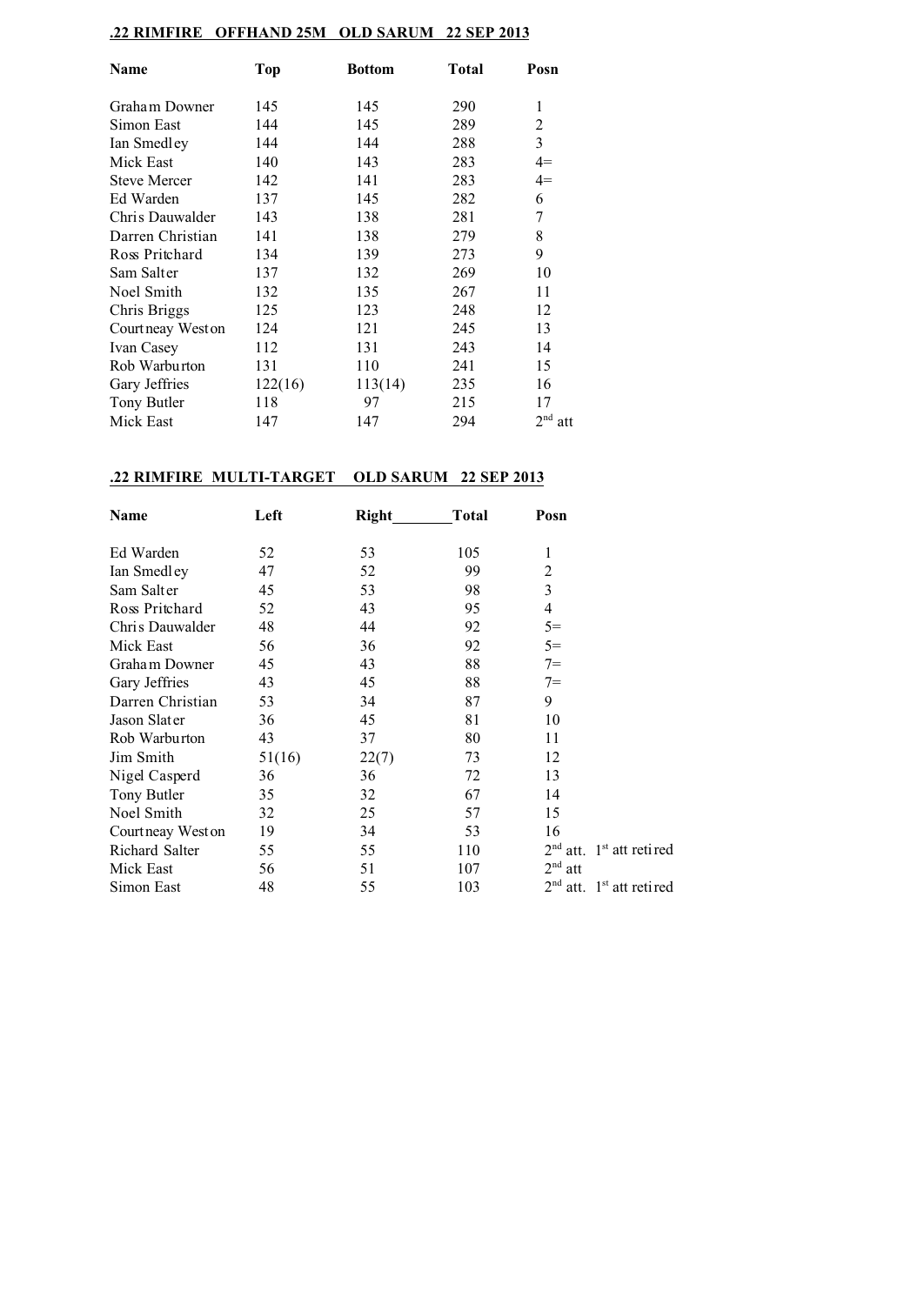## **.22 RIMFIRE OFFHAND 25M OLD SARUM 22 SEP 2013**

| Name                | <b>Top</b> | Bottom  | <b>Total</b> | Posn      |
|---------------------|------------|---------|--------------|-----------|
| Graham Downer       | 145        | 145     | 290          | 1         |
| Simon East          | 144        | 145     | 289          | 2         |
| Ian Smedley         | 144        | 144     | 288          | 3         |
| Mick East           | 140        | 143     | 283          | $4=$      |
| <b>Steve Mercer</b> | 142        | 141     | 283          | $4=$      |
| Ed Warden           | 137        | 145     | 282          | 6         |
| Chris Dauwalder     | 143        | 138     | 281          | 7         |
| Darren Christian    | 141        | 138     | 279          | 8         |
| Ross Pritchard      | 134        | 139     | 273          | 9         |
| Sam Salter          | 137        | 132     | 269          | 10        |
| Noel Smith          | 132        | 135     | 267          | 11        |
| Chris Briggs        | 125        | 123     | 248          | 12        |
| Court neay West on  | 124        | 121     | 245          | 13        |
| Ivan Casey          | 112        | 131     | 243          | 14        |
| Rob Warburton       | 131        | 110     | 241          | 15        |
| Gary Jeffries       | 122(16)    | 113(14) | 235          | 16        |
| Tony Butler         | 118        | 97      | 215          | 17        |
| Mick East           | 147        | 147     | 294          | $2nd$ att |

## **.22 RIMFIRE MULTI-TARGET OLD SARUM 22 SEP 2013**

| Name               | Left   | Right | <b>Total</b> | Posn       |                                        |
|--------------------|--------|-------|--------------|------------|----------------------------------------|
| Ed Warden          | 52     | 53    | 105          | 1          |                                        |
| Ian Smedley        | 47     | 52    | 99           | 2          |                                        |
| Sam Salter         | 45     | 53    | 98           | 3          |                                        |
| Ross Pritchard     | 52     | 43    | 95           | 4          |                                        |
| Chris Dauwalder    | 48     | 44    | 92           | $5=$       |                                        |
| Mick East          | 56     | 36    | 92           | $5=$       |                                        |
| Graham Downer      | 45     | 43    | 88           | $7 =$      |                                        |
| Gary Jeffries      | 43     | 45    | 88           | $7 =$      |                                        |
| Darren Christian   | 53     | 34    | 87           | 9          |                                        |
| Jason Slater       | 36     | 45    | 81           | 10         |                                        |
| Rob Warburton      | 43     | 37    | 80           | 11         |                                        |
| Jim Smith          | 51(16) | 22(7) | 73           | 12         |                                        |
| Nigel Casperd      | 36     | 36    | 72           | 13         |                                        |
| Tony Butler        | 35     | 32    | 67           | 14         |                                        |
| Noel Smith         | 32     | 25    | 57           | 15         |                                        |
| Court neay West on | 19     | 34    | 53           | 16         |                                        |
| Richard Salter     | 55     | 55    | 110          | $2nd$ att. | 1 <sup>st</sup> att retired            |
| Mick East          | 56     | 51    | 107          | $2nd$ att  |                                        |
| Simon East         | 48     | 55    | 103          |            | $2nd$ att. 1 <sup>st</sup> att retired |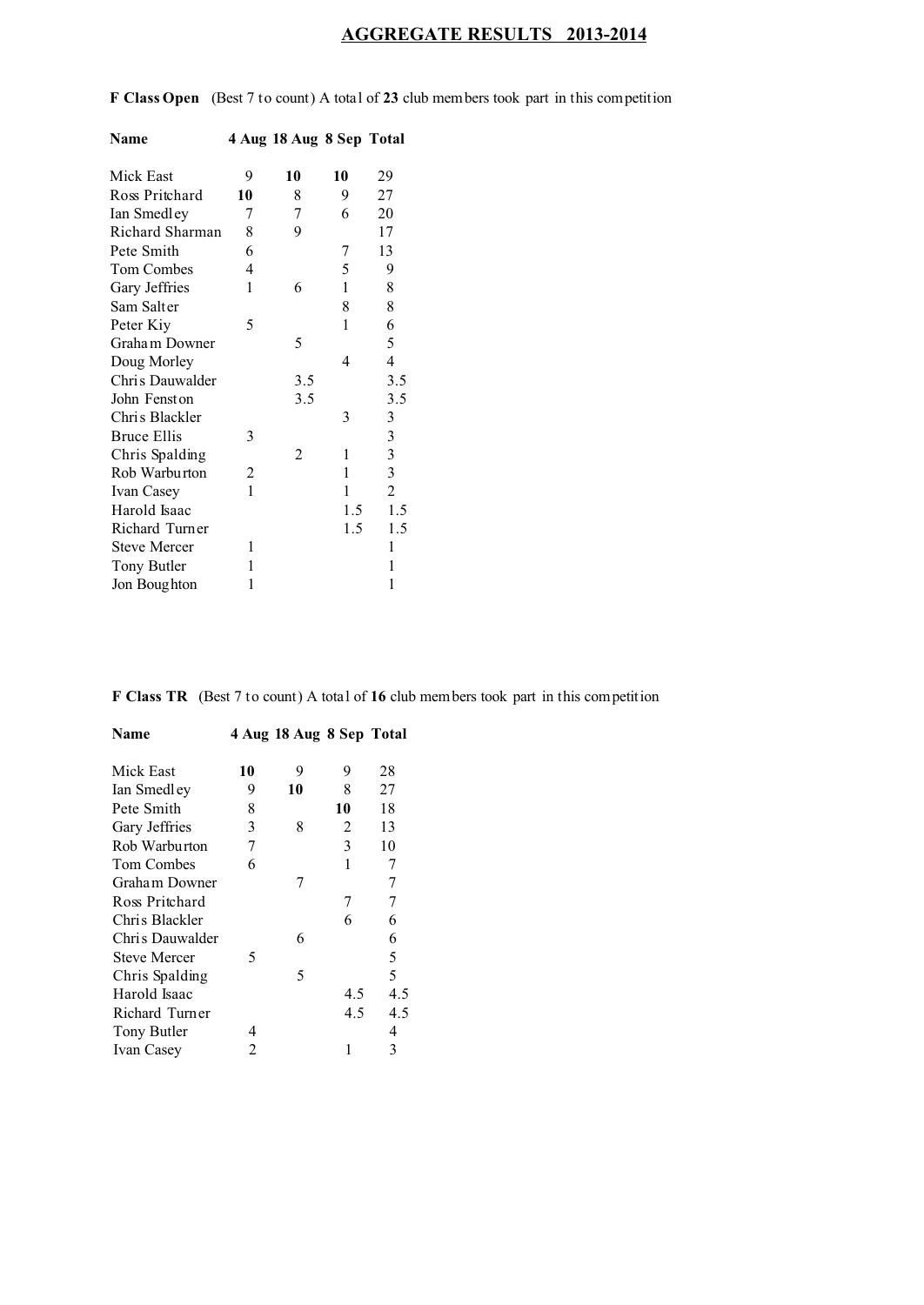# **AGGREGATE RESULTS 2013-2014**

**F Class Open** (Best 7 to count) A total of **23** club members took part in this competition

| Name                |    | 4 Aug 18 Aug 8 Sep Total |     |                         |
|---------------------|----|--------------------------|-----|-------------------------|
| Mick East           | 9  | 10                       | 10  | 29                      |
| Ross Pritchard      | 10 | 8                        | 9   | 27                      |
| Ian Smedley         | 7  | 7                        | 6   | 20                      |
| Richard Sharman     | 8  | 9                        |     | 17                      |
| Pete Smith          | 6  |                          | 7   | 13                      |
| Tom Combes          | 4  |                          | 5   | 9                       |
| Gary Jeffries       | 1  | 6                        | 1   | 8                       |
| Sam Salter          |    |                          | 8   | 8                       |
| Peter Kiy           | 5  |                          | 1   | 6                       |
| Graham Downer       |    | 5                        |     | 5                       |
| Doug Morley         |    |                          | 4   | 4                       |
| Chris Dauwalder     |    | 3.5                      |     | 3.5                     |
| John Fenston        |    | 3.5                      |     | 3.5                     |
| Chris Blackler      |    |                          | 3   | 3                       |
| <b>Bruce Ellis</b>  | 3  |                          |     | 3                       |
| Chris Spalding      |    | $\overline{c}$           | 1   | 3                       |
| Rob Warburton       | 2  |                          | 1   | $\overline{\mathbf{3}}$ |
| Ivan Casey          | 1  |                          | 1   | $\overline{c}$          |
| Harold Isaac        |    |                          | 1.5 | 1.5                     |
| Richard Turner      |    |                          | 1.5 | 1.5                     |
| <b>Steve Mercer</b> | 1  |                          |     | 1                       |
| Tony Butler         | 1  |                          |     | 1                       |
| Jon Boughton        | 1  |                          |     | 1                       |

**F Class TR** (Best 7 to count) A total of **16** club members took part in this competition

| Name                |    | 4 Aug 18 Aug 8 Sep Total |     |                |
|---------------------|----|--------------------------|-----|----------------|
| Mick East           | 10 | 9                        | 9   | 28             |
| Ian Smedley         | 9  | 10                       | 8   | 27             |
| Pete Smith          | 8  |                          | 10  | 18             |
| Gary Jeffries       | 3  | 8                        | 2   | 13             |
| Rob Warburton       | 7  |                          | 3   | 10             |
| <b>Tom Combes</b>   | 6  |                          | 1   | 7              |
| Graham Downer       |    | 7                        |     | $\overline{7}$ |
| Ross Pritchard      |    |                          | 7   | 7              |
| Chris Blackler      |    |                          | 6   | 6              |
| Chris Dauwalder     |    | 6                        |     | 6              |
| <b>Steve Mercer</b> | 5  |                          |     | 5              |
| Chris Spalding      |    | 5                        |     | 5              |
| Harold Isaac        |    |                          | 4.5 | 4.5            |
| Richard Turner      |    |                          | 4.5 | 4.5            |
| Tony Butler         | 4  |                          |     | 4              |
| Ivan Casey          | 2  |                          | 1   | 3              |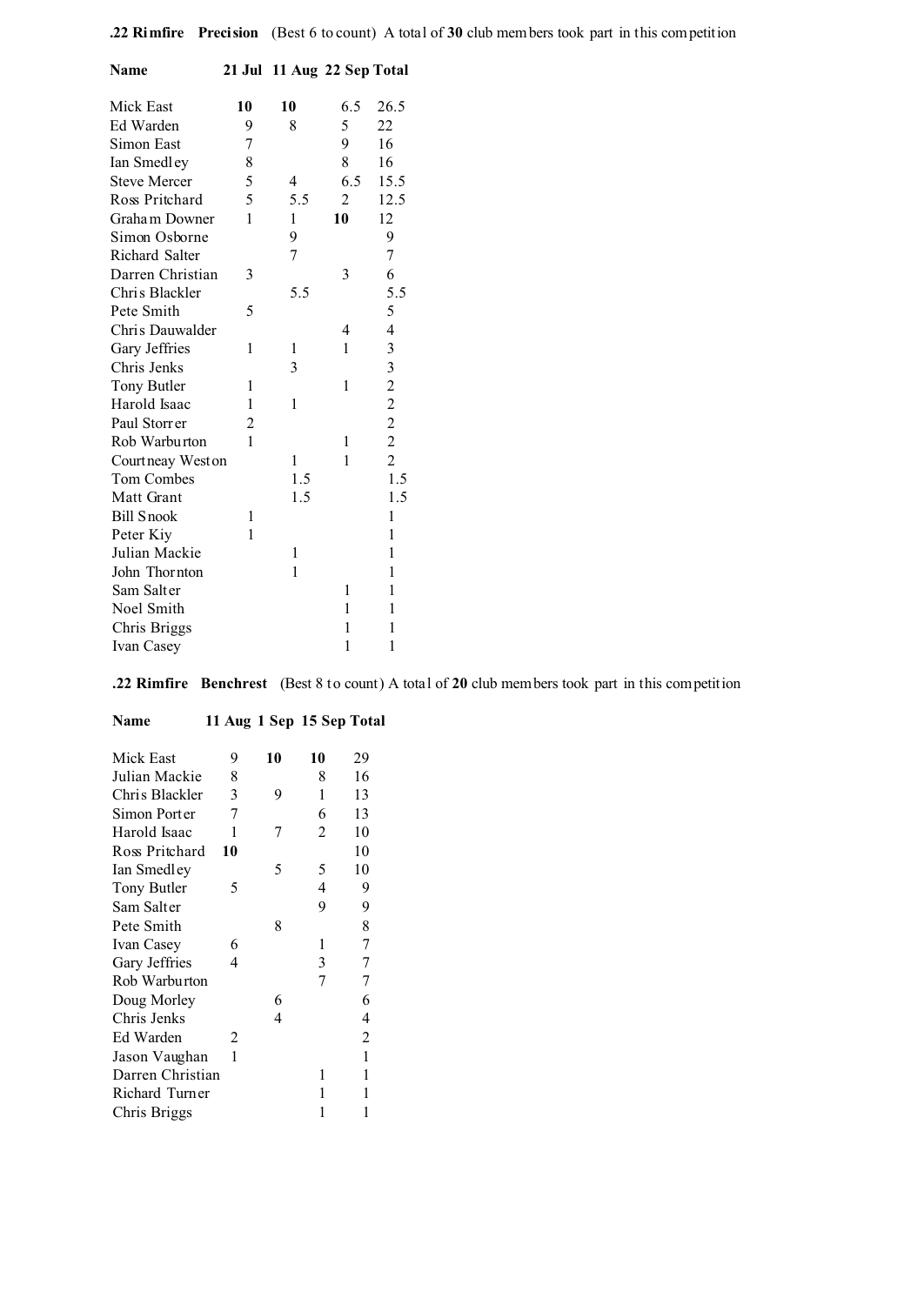| Name                  |    | 21 Jul 11 Aug 22 Sep Total |                |                         |
|-----------------------|----|----------------------------|----------------|-------------------------|
| Mick East             | 10 | 10                         | 6.5            | 26.5                    |
| Ed Warden             | 9  | 8                          | 5              | 22                      |
| Simon East            | 7  |                            | 9              | 16                      |
| Ian Smedley           | 8  |                            | 8              | 16                      |
| <b>Steve Mercer</b>   | 5  | 4                          | 6.5            | 15.5                    |
| Ross Pritchard        | 5  | 5.5                        | $\overline{c}$ | 12.5                    |
| Graham Downer         | 1  | 1                          | 10             | 12                      |
| Simon Osborne         |    | 9                          |                | 9                       |
| <b>Richard Salter</b> |    | 7                          |                | $\overline{7}$          |
| Darren Christian      | 3  |                            | 3              | 6                       |
| Chris Blackler        |    | 5.5                        |                | 5.5                     |
| Pete Smith            | 5  |                            |                | 5                       |
| Chris Dauwalder       |    |                            | 4              | $\overline{\mathbf{4}}$ |
| Gary Jeffries         | 1  | 1                          | 1              | 3                       |
| Chris Jenks           |    | 3                          |                | $3222$<br>$222$         |
| Tony Butler           | 1  |                            | 1              |                         |
| Harold Isaac          | 1  | 1                          |                |                         |
| Paul Storrer          | 2  |                            |                |                         |
| Rob Warburton         | 1  |                            | 1              |                         |
| Courtneay Weston      |    | 1                          | 1              |                         |
| Tom Combes            |    | 1.5                        |                | 1.5                     |
| Matt Grant            |    | 1.5                        |                | 1.5                     |
| <b>Bill Snook</b>     | 1  |                            |                | 1                       |
| Peter Kiy             | 1  |                            |                | 1                       |
| Julian Mackie         |    | 1                          |                | 1                       |
| John Thornton         |    | 1                          |                | 1                       |
| Sam Salter            |    |                            | 1              | 1                       |
| Noel Smith            |    |                            | 1              | 1                       |
| Chris Briggs          |    |                            | 1              | 1                       |
| Ivan Casey            |    |                            | 1              | 1                       |

**.22 Rimfire Benchrest** (Best 8 to count) A total of **20** club members took part in this competition

| Mick East        | 9  | 10 | 10             | 29 |
|------------------|----|----|----------------|----|
| Julian Mackie    | 8  |    | 8              | 16 |
| Chris Blackler   | 3  | 9  | 1              | 13 |
| Simon Porter     | 7  |    | 6              | 13 |
| Harold Isaac     | 1  |    | 2              | 10 |
| Ross Pritchard   | 10 |    |                | 10 |
| Ian Smedley      |    | 5  | 5              | 10 |
| Tony Butler      | 5  |    | 4              | 9  |
| Sam Salter       |    |    | 9              | 9  |
| Pete Smith       |    | 8  |                | 8  |
| Ivan Casey       | 6  |    | 1              | 7  |
| Gary Jeffries    | 4  |    | 3              | 7  |
| Rob Warburton    |    |    | $\overline{7}$ | 7  |
| Doug Morley      |    | 6  |                | 6  |
| Chris Jenks      |    | 4  |                | 4  |
| Ed Warden        | 2  |    |                | 2  |
| Jason Vaughan    | 1  |    |                | 1  |
| Darren Christian |    |    | 1              | 1  |
| Richard Turner   |    |    | 1              | 1  |
| Chris Briggs     |    |    | 1              | 1  |

**Name 11 Aug 1 Sep 15 Sep Total**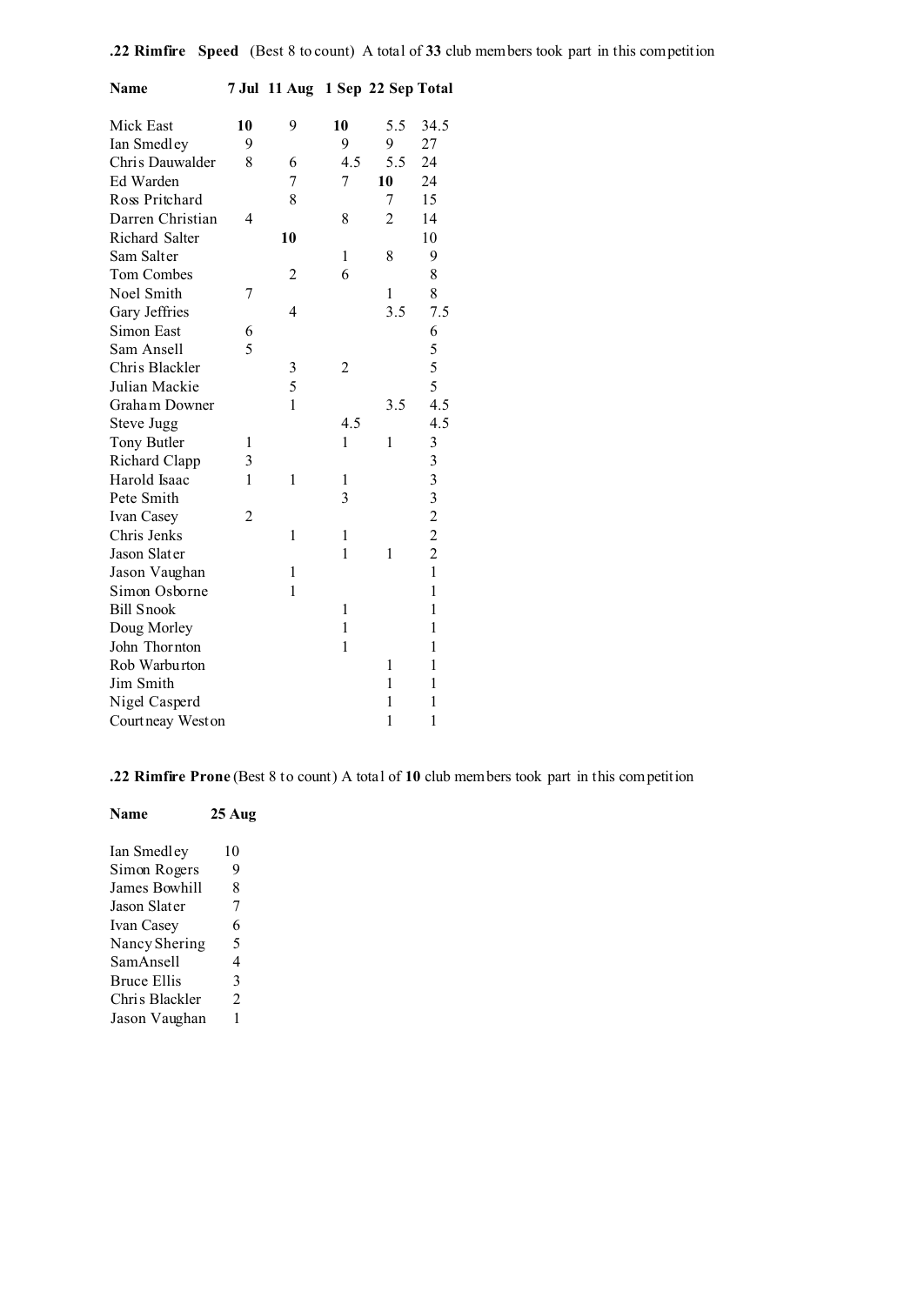| Name              |    | 7 Jul 11 Aug 1 Sep 22 Sep Total |                |              |              |
|-------------------|----|---------------------------------|----------------|--------------|--------------|
| Mick East         | 10 | 9                               | 10             | 5.5          | 34.5         |
| Ian Smedley       | 9  |                                 | 9              | 9            | 27           |
| Chris Dauwalder   | 8  | 6                               | 4.5            | 5.5          | 24           |
| Ed Warden         |    | 7                               | 7              | 10           | 24           |
| Ross Pritchard    |    | 8                               |                | 7            | 15           |
| Darren Christian  | 4  |                                 | 8              | 2            | 14           |
| Richard Salter    |    | 10                              |                |              | 10           |
| Sam Salter        |    |                                 | 1              | 8            | 9            |
| Tom Combes        |    | 2                               | 6              |              | 8            |
| Noel Smith        | 7  |                                 |                | 1            | 8            |
| Gary Jeffries     |    | 4                               |                | 3.5          | 7.5          |
| Simon East        | 6  |                                 |                |              | 6            |
| Sam Ansell        | 5  |                                 |                |              | 5            |
| Chris Blackler    |    | 3                               | $\overline{c}$ |              | 5            |
| Julian Mackie     |    | 5                               |                |              | 5            |
| Graham Downer     |    | $\mathbf{1}$                    |                | 3.5          | 4.5          |
| Steve Jugg        |    |                                 | 4.5            |              | 4.5          |
| Tony Butler       | 1  |                                 | $\mathbf{1}$   | $\mathbf{1}$ | 3            |
| Richard Clapp     | 3  |                                 |                |              |              |
| Harold Isaac      | 1  | 1                               | 1              |              | 33322        |
| Pete Smith        |    |                                 | 3              |              |              |
| Ivan Casey        | 2  |                                 |                |              |              |
| Chris Jenks       |    | 1                               | 1              |              |              |
| Jason Slater      |    |                                 | $\mathbf{1}$   | $\mathbf{1}$ |              |
| Jason Vaughan     |    | 1                               |                |              | $\mathbf{1}$ |
| Simon Osborne     |    | 1                               |                |              | 1            |
| <b>Bill Snook</b> |    |                                 | $\mathbf{1}$   |              | 1            |
| Doug Morley       |    |                                 | $\mathbf{1}$   |              | 1            |
| John Thornton     |    |                                 | $\mathbf{1}$   |              | 1            |
| Rob Warburton     |    |                                 |                | 1            | 1            |
| Jim Smith         |    |                                 |                | 1            | 1            |
| Nigel Casperd     |    |                                 |                | 1            | 1            |
| Courtneay West on |    |                                 |                | $\mathbf{1}$ | 1            |

**.22 Rimfire Prone** (Best 8 to count) A total of **10** club members took part in this competition

| Name               | 25 Aug |
|--------------------|--------|
| Ian Smedley        | 10     |
| Simon Rogers       | 9      |
| James Bowhill      | 8      |
| Jason Slater       | 7      |
| Ivan Casey         | 6      |
| Nancy Shering      | 5      |
| SamAnsell          | 4      |
| <b>Bruce Ellis</b> | 3      |
| Chris Blackler     | 2      |
| Jason Vaughan      |        |